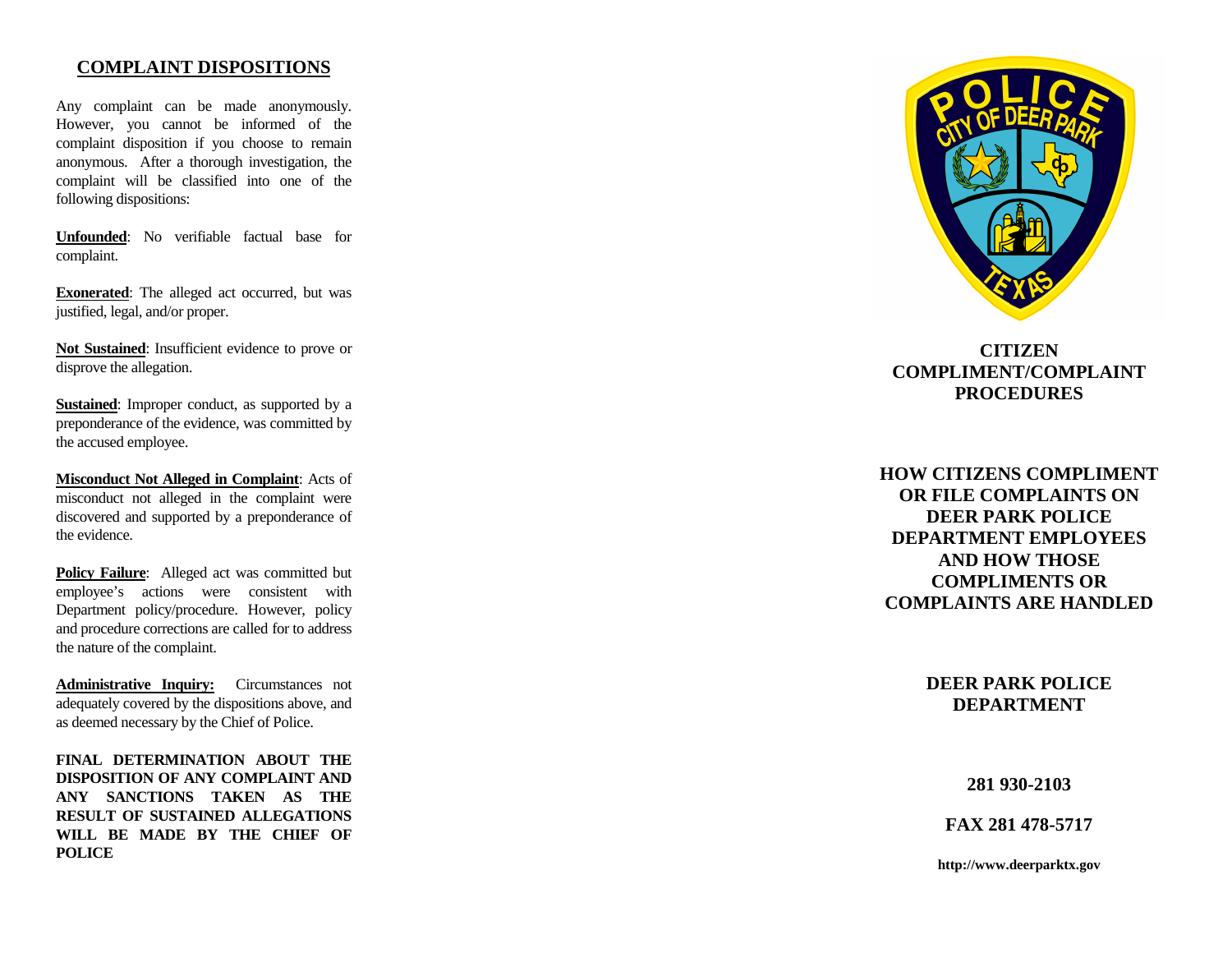#### **COMPLAINT DISPOSITIONS**

Any complaint can be made anonymously. However, you cannot be informed of the complaint disposition if you choose to remain anonymous. After a thorough investigation, the complaint will be classified into one of the following dispositions:

**Unfounded**: No verifiable factual base for complaint.

**Exonerated**: The alleged act occurred, but was justified, legal, and/or proper.

**Not Sustained**: Insufficient evidence to prove or disprove the allegation.

**Sustained**: Improper conduct, as supported by a preponderance of the evidence, was committed by the accused employee.

**Misconduct Not Alleged in Complaint**: Acts of misconduct not alleged in the complaint were discovered and supported by a preponderance of the evidence.

Policy Failure: Alleged act was committed but employee's actions were consistent with Department policy/procedure. However, policy and procedure corrections are called for to address the nature of the complaint.

**Administrative Inquiry:** Circumstances not adequately covered by the dispositions above, and as deemed necessary by the Chief of Police.

**FINAL DETERMINATION ABOUT THE DISPOSITION OF ANY COMPLAINT AND ANY SANCTIONS TAKEN AS THE RESULT OF SUSTAINED ALLEGATIONS WILL BE MADE BY THE CHIEF OF POLICE** 



# **CITIZEN COMPLIMENT/COMPLAINT PROCEDURES**

**HOW CITIZENS COMPLIMENT OR FILE COMPLAINTS ON DEER PARK POLICE DEPARTMENT EMPLOYEES AND HOW THOSE COMPLIMENTS OR COMPLAINTS ARE HANDLED** 

> **DEER PARK POLICE DEPARTMENT**

> > **281 930-2103**

**FAX 281 478-5717** 

**http://www.deerparktx.gov**